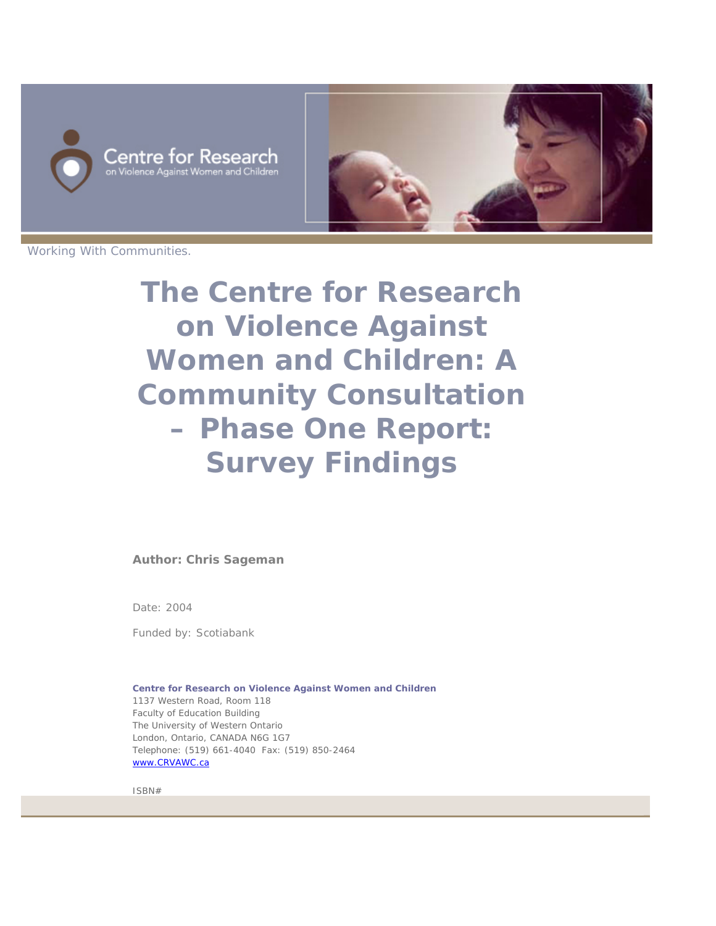



Working With Communities.

**The Centre for Research on Violence Against Women and Children: A Community Consultation – Phase One Report: Survey Findings**

**Author: Chris Sageman**

Date: 2004

Funded by: Scotiabank

**Centre for Research on Violence Against Women and Children** 1137 Western Road, Room 118 Faculty of Education Building The University of Western Ontario London, Ontario, CANADA N6G 1G7 Telephone: (519) 661-4040 Fax: (519) 850-2464 www.CRVAWC.ca

ISBN#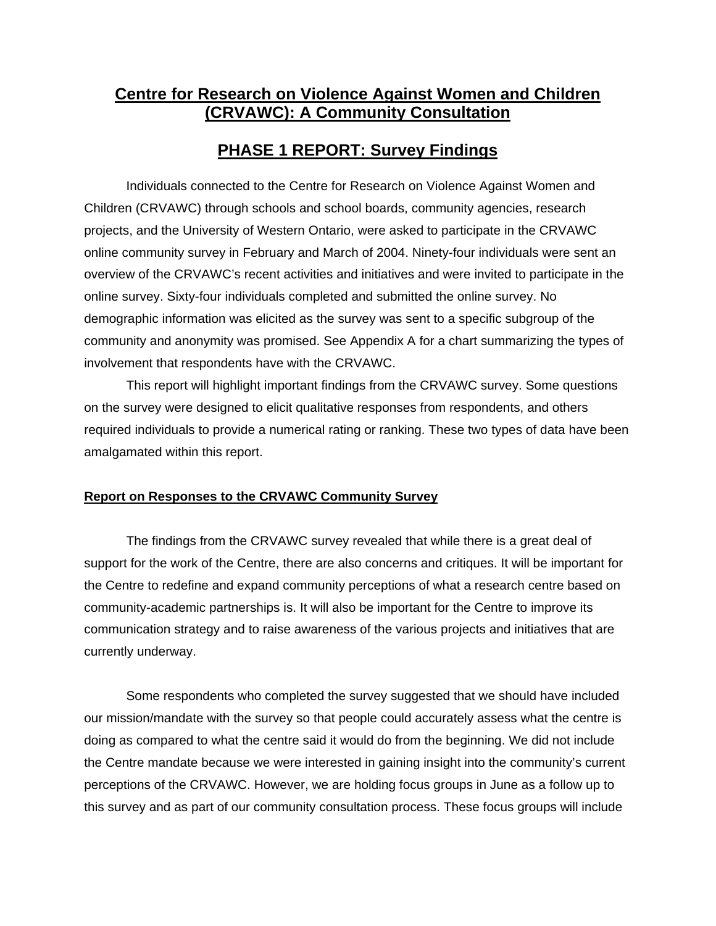# **Centre for Research on Violence Against Women and Children (CRVAWC): A Community Consultation**

# **PHASE 1 REPORT: Survey Findings**

 Individuals connected to the Centre for Research on Violence Against Women and Children (CRVAWC) through schools and school boards, community agencies, research projects, and the University of Western Ontario, were asked to participate in the CRVAWC online community survey in February and March of 2004. Ninety-four individuals were sent an overview of the CRVAWC's recent activities and initiatives and were invited to participate in the online survey. Sixty-four individuals completed and submitted the online survey. No demographic information was elicited as the survey was sent to a specific subgroup of the community and anonymity was promised. See Appendix A for a chart summarizing the types of involvement that respondents have with the CRVAWC.

 This report will highlight important findings from the CRVAWC survey. Some questions on the survey were designed to elicit qualitative responses from respondents, and others required individuals to provide a numerical rating or ranking. These two types of data have been amalgamated within this report.

# **Report on Responses to the CRVAWC Community Survey**

 The findings from the CRVAWC survey revealed that while there is a great deal of support for the work of the Centre, there are also concerns and critiques. It will be important for the Centre to redefine and expand community perceptions of what a research centre based on community-academic partnerships is. It will also be important for the Centre to improve its communication strategy and to raise awareness of the various projects and initiatives that are currently underway.

 Some respondents who completed the survey suggested that we should have included our mission/mandate with the survey so that people could accurately assess what the centre is doing as compared to what the centre said it would do from the beginning. We did not include the Centre mandate because we were interested in gaining insight into the community's current perceptions of the CRVAWC. However, we are holding focus groups in June as a follow up to this survey and as part of our community consultation process. These focus groups will include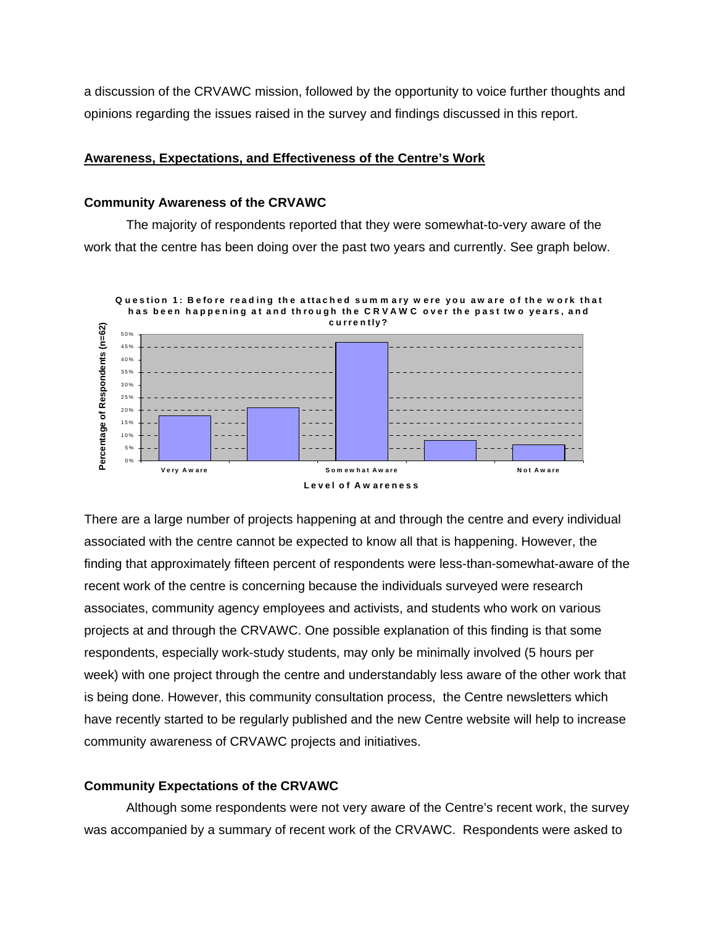a discussion of the CRVAWC mission, followed by the opportunity to voice further thoughts and opinions regarding the issues raised in the survey and findings discussed in this report.

#### **Awareness, Expectations, and Effectiveness of the Centre's Work**

#### **Community Awareness of the CRVAWC**

The majority of respondents reported that they were somewhat-to-very aware of the work that the centre has been doing over the past two years and currently. See graph below.



There are a large number of projects happening at and through the centre and every individual associated with the centre cannot be expected to know all that is happening. However, the finding that approximately fifteen percent of respondents were less-than-somewhat-aware of the recent work of the centre is concerning because the individuals surveyed were research associates, community agency employees and activists, and students who work on various projects at and through the CRVAWC. One possible explanation of this finding is that some respondents, especially work-study students, may only be minimally involved (5 hours per week) with one project through the centre and understandably less aware of the other work that is being done. However, this community consultation process, the Centre newsletters which have recently started to be regularly published and the new Centre website will help to increase community awareness of CRVAWC projects and initiatives.

### **Community Expectations of the CRVAWC**

Although some respondents were not very aware of the Centre's recent work, the survey was accompanied by a summary of recent work of the CRVAWC. Respondents were asked to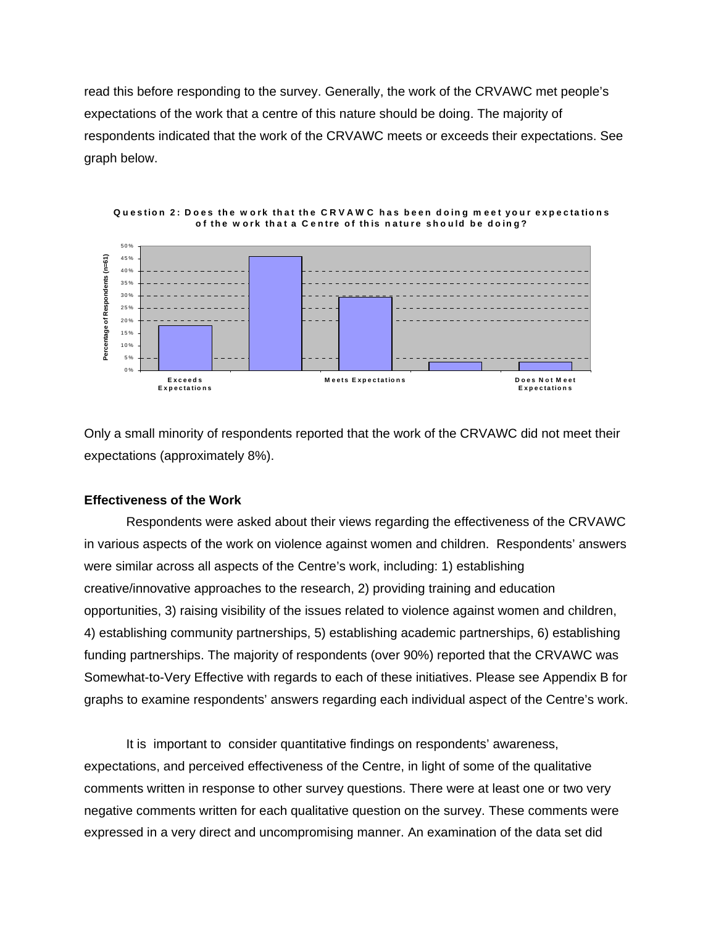read this before responding to the survey. Generally, the work of the CRVAWC met people's expectations of the work that a centre of this nature should be doing. The majority of respondents indicated that the work of the CRVAWC meets or exceeds their expectations. See graph below.



Question 2: Does the work that the CRVAWC has been doing meet your expectations of the work that a Centre of this nature should be doing?

Only a small minority of respondents reported that the work of the CRVAWC did not meet their expectations (approximately 8%).

#### **Effectiveness of the Work**

Respondents were asked about their views regarding the effectiveness of the CRVAWC in various aspects of the work on violence against women and children. Respondents' answers were similar across all aspects of the Centre's work, including: 1) establishing creative/innovative approaches to the research, 2) providing training and education opportunities, 3) raising visibility of the issues related to violence against women and children, 4) establishing community partnerships, 5) establishing academic partnerships, 6) establishing funding partnerships. The majority of respondents (over 90%) reported that the CRVAWC was Somewhat-to-Very Effective with regards to each of these initiatives. Please see Appendix B for graphs to examine respondents' answers regarding each individual aspect of the Centre's work.

It is important to consider quantitative findings on respondents' awareness, expectations, and perceived effectiveness of the Centre, in light of some of the qualitative comments written in response to other survey questions. There were at least one or two very negative comments written for each qualitative question on the survey. These comments were expressed in a very direct and uncompromising manner. An examination of the data set did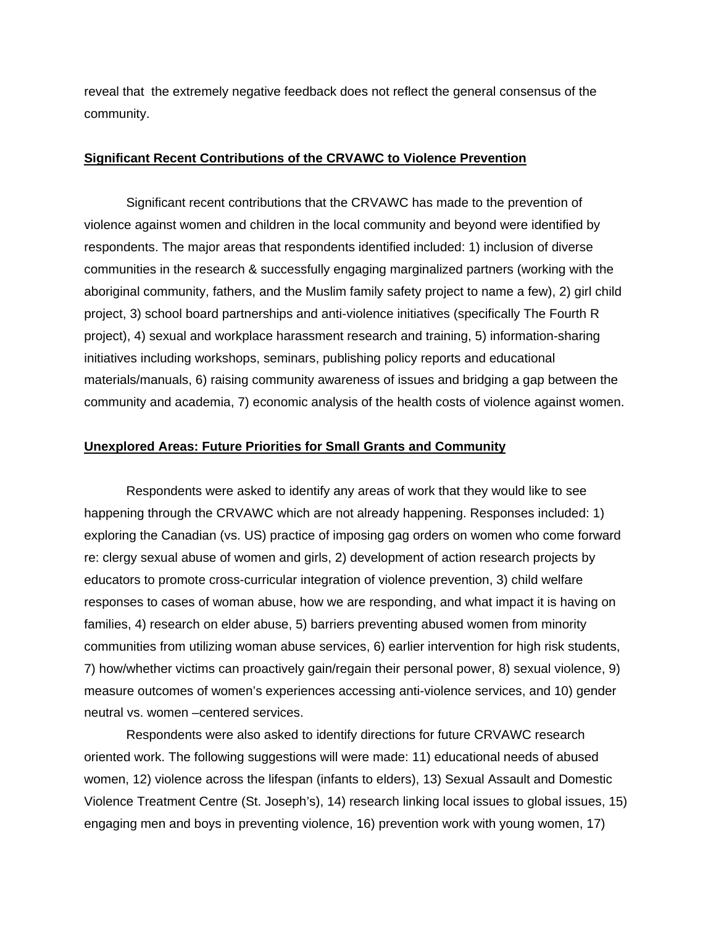reveal that the extremely negative feedback does not reflect the general consensus of the community.

## **Significant Recent Contributions of the CRVAWC to Violence Prevention**

 Significant recent contributions that the CRVAWC has made to the prevention of violence against women and children in the local community and beyond were identified by respondents. The major areas that respondents identified included: 1) inclusion of diverse communities in the research & successfully engaging marginalized partners (working with the aboriginal community, fathers, and the Muslim family safety project to name a few), 2) girl child project, 3) school board partnerships and anti-violence initiatives (specifically The Fourth R project), 4) sexual and workplace harassment research and training, 5) information-sharing initiatives including workshops, seminars, publishing policy reports and educational materials/manuals, 6) raising community awareness of issues and bridging a gap between the community and academia, 7) economic analysis of the health costs of violence against women.

# **Unexplored Areas: Future Priorities for Small Grants and Community**

 Respondents were asked to identify any areas of work that they would like to see happening through the CRVAWC which are not already happening. Responses included: 1) exploring the Canadian (vs. US) practice of imposing gag orders on women who come forward re: clergy sexual abuse of women and girls, 2) development of action research projects by educators to promote cross-curricular integration of violence prevention, 3) child welfare responses to cases of woman abuse, how we are responding, and what impact it is having on families, 4) research on elder abuse, 5) barriers preventing abused women from minority communities from utilizing woman abuse services, 6) earlier intervention for high risk students, 7) how/whether victims can proactively gain/regain their personal power, 8) sexual violence, 9) measure outcomes of women's experiences accessing anti-violence services, and 10) gender neutral vs. women –centered services.

 Respondents were also asked to identify directions for future CRVAWC research oriented work. The following suggestions will were made: 11) educational needs of abused women, 12) violence across the lifespan (infants to elders), 13) Sexual Assault and Domestic Violence Treatment Centre (St. Joseph's), 14) research linking local issues to global issues, 15) engaging men and boys in preventing violence, 16) prevention work with young women, 17)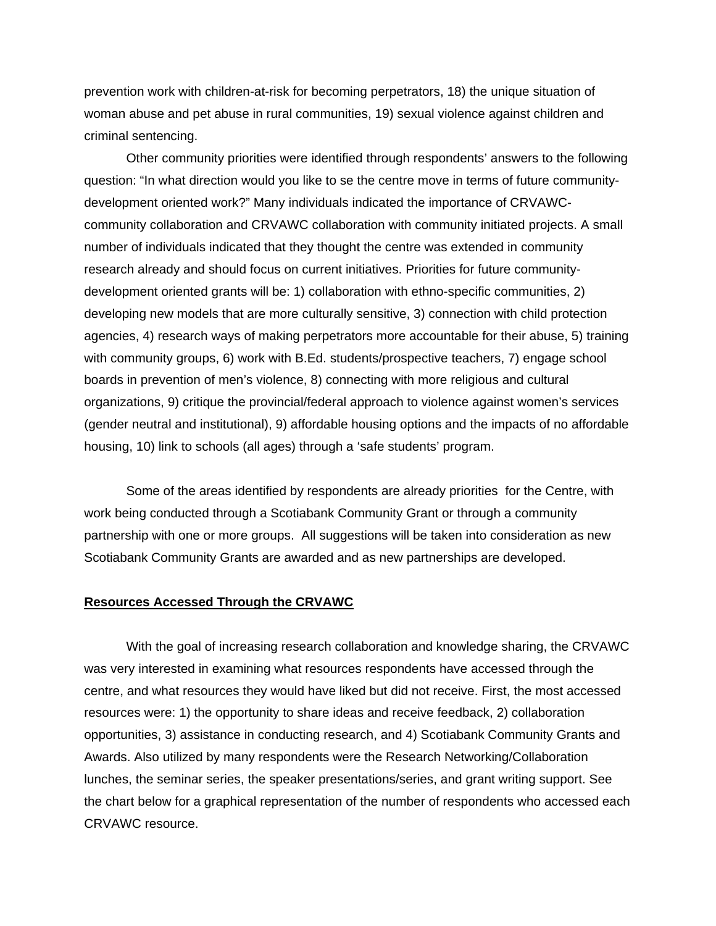prevention work with children-at-risk for becoming perpetrators, 18) the unique situation of woman abuse and pet abuse in rural communities, 19) sexual violence against children and criminal sentencing.

 Other community priorities were identified through respondents' answers to the following question: "In what direction would you like to se the centre move in terms of future communitydevelopment oriented work?" Many individuals indicated the importance of CRVAWCcommunity collaboration and CRVAWC collaboration with community initiated projects. A small number of individuals indicated that they thought the centre was extended in community research already and should focus on current initiatives. Priorities for future communitydevelopment oriented grants will be: 1) collaboration with ethno-specific communities, 2) developing new models that are more culturally sensitive, 3) connection with child protection agencies, 4) research ways of making perpetrators more accountable for their abuse, 5) training with community groups, 6) work with B.Ed. students/prospective teachers, 7) engage school boards in prevention of men's violence, 8) connecting with more religious and cultural organizations, 9) critique the provincial/federal approach to violence against women's services (gender neutral and institutional), 9) affordable housing options and the impacts of no affordable housing, 10) link to schools (all ages) through a 'safe students' program.

 Some of the areas identified by respondents are already priorities for the Centre, with work being conducted through a Scotiabank Community Grant or through a community partnership with one or more groups. All suggestions will be taken into consideration as new Scotiabank Community Grants are awarded and as new partnerships are developed.

#### **Resources Accessed Through the CRVAWC**

 With the goal of increasing research collaboration and knowledge sharing, the CRVAWC was very interested in examining what resources respondents have accessed through the centre, and what resources they would have liked but did not receive. First, the most accessed resources were: 1) the opportunity to share ideas and receive feedback, 2) collaboration opportunities, 3) assistance in conducting research, and 4) Scotiabank Community Grants and Awards. Also utilized by many respondents were the Research Networking/Collaboration lunches, the seminar series, the speaker presentations/series, and grant writing support. See the chart below for a graphical representation of the number of respondents who accessed each CRVAWC resource.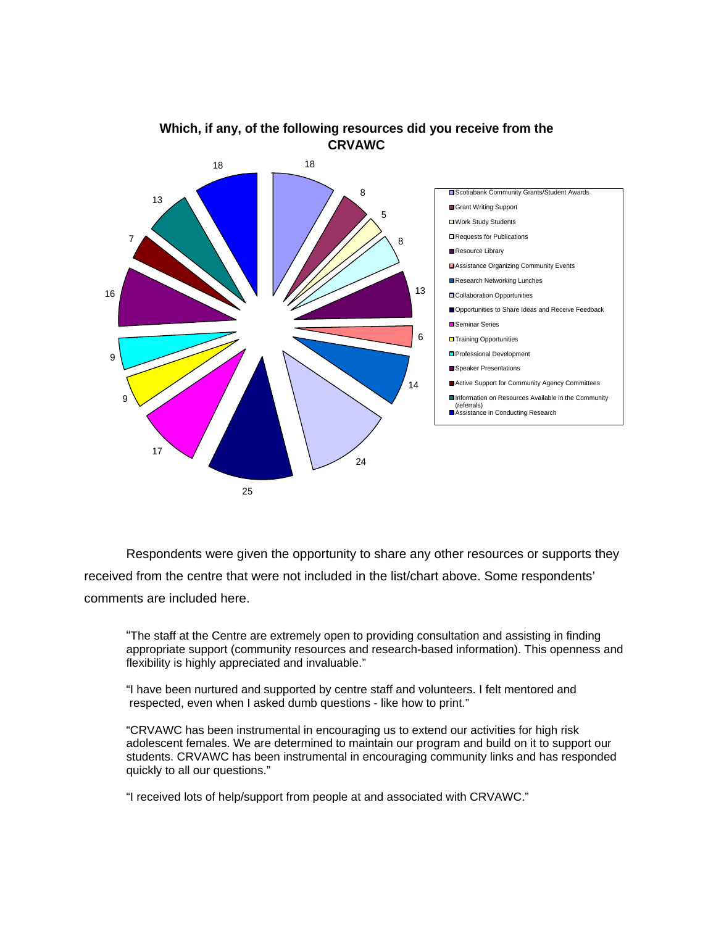

Respondents were given the opportunity to share any other resources or supports they received from the centre that were not included in the list/chart above. Some respondents' comments are included here.

 "The staff at the Centre are extremely open to providing consultation and assisting in finding appropriate support (community resources and research-based information). This openness and flexibility is highly appreciated and invaluable."

"I have been nurtured and supported by centre staff and volunteers. I felt mentored and respected, even when I asked dumb questions - like how to print."

"CRVAWC has been instrumental in encouraging us to extend our activities for high risk adolescent females. We are determined to maintain our program and build on it to support our students. CRVAWC has been instrumental in encouraging community links and has responded quickly to all our questions."

"I received lots of help/support from people at and associated with CRVAWC."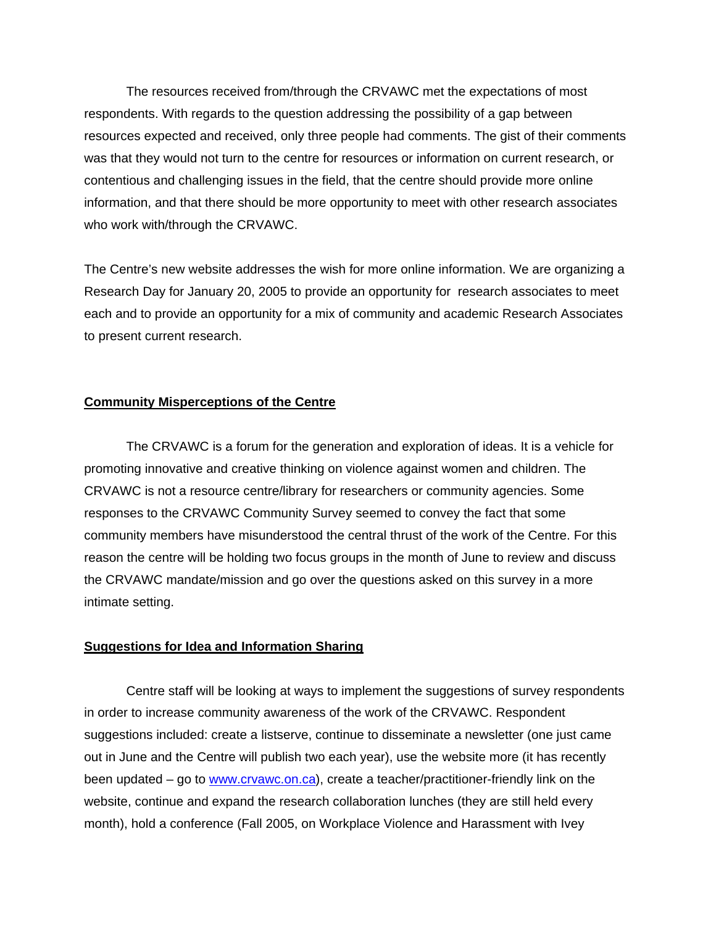The resources received from/through the CRVAWC met the expectations of most respondents. With regards to the question addressing the possibility of a gap between resources expected and received, only three people had comments. The gist of their comments was that they would not turn to the centre for resources or information on current research, or contentious and challenging issues in the field, that the centre should provide more online information, and that there should be more opportunity to meet with other research associates who work with/through the CRVAWC.

The Centre's new website addresses the wish for more online information. We are organizing a Research Day for January 20, 2005 to provide an opportunity for research associates to meet each and to provide an opportunity for a mix of community and academic Research Associates to present current research.

## **Community Misperceptions of the Centre**

 The CRVAWC is a forum for the generation and exploration of ideas. It is a vehicle for promoting innovative and creative thinking on violence against women and children. The CRVAWC is not a resource centre/library for researchers or community agencies. Some responses to the CRVAWC Community Survey seemed to convey the fact that some community members have misunderstood the central thrust of the work of the Centre. For this reason the centre will be holding two focus groups in the month of June to review and discuss the CRVAWC mandate/mission and go over the questions asked on this survey in a more intimate setting.

## **Suggestions for Idea and Information Sharing**

 Centre staff will be looking at ways to implement the suggestions of survey respondents in order to increase community awareness of the work of the CRVAWC. Respondent suggestions included: create a listserve, continue to disseminate a newsletter (one just came out in June and the Centre will publish two each year), use the website more (it has recently been updated – go to www.crvawc.on.ca), create a teacher/practitioner-friendly link on the website, continue and expand the research collaboration lunches (they are still held every month), hold a conference (Fall 2005, on Workplace Violence and Harassment with Ivey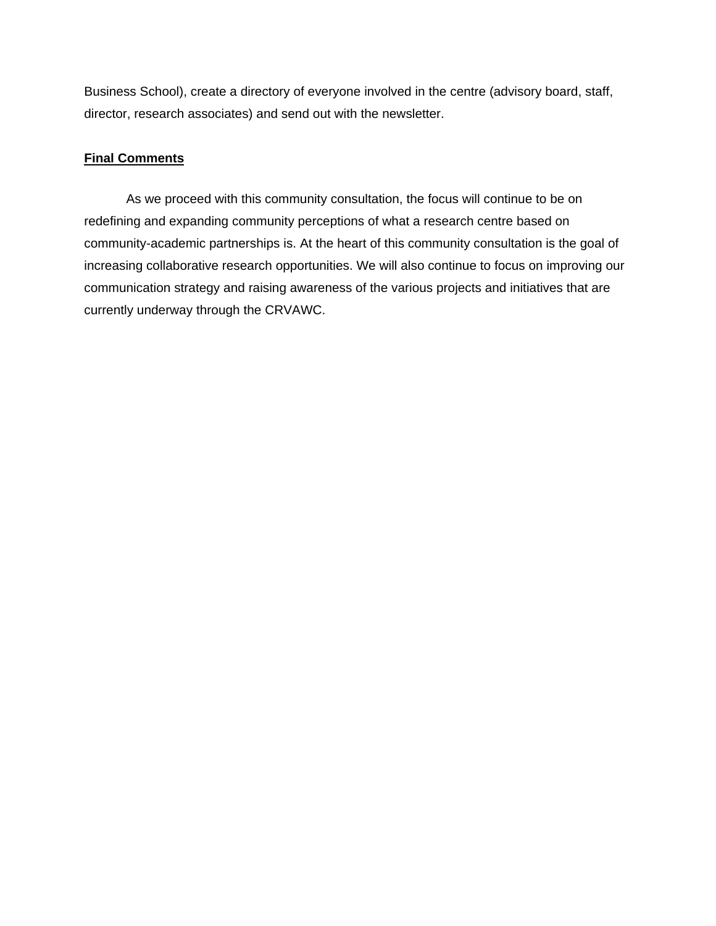Business School), create a directory of everyone involved in the centre (advisory board, staff, director, research associates) and send out with the newsletter.

# **Final Comments**

 As we proceed with this community consultation, the focus will continue to be on redefining and expanding community perceptions of what a research centre based on community-academic partnerships is. At the heart of this community consultation is the goal of increasing collaborative research opportunities. We will also continue to focus on improving our communication strategy and raising awareness of the various projects and initiatives that are currently underway through the CRVAWC.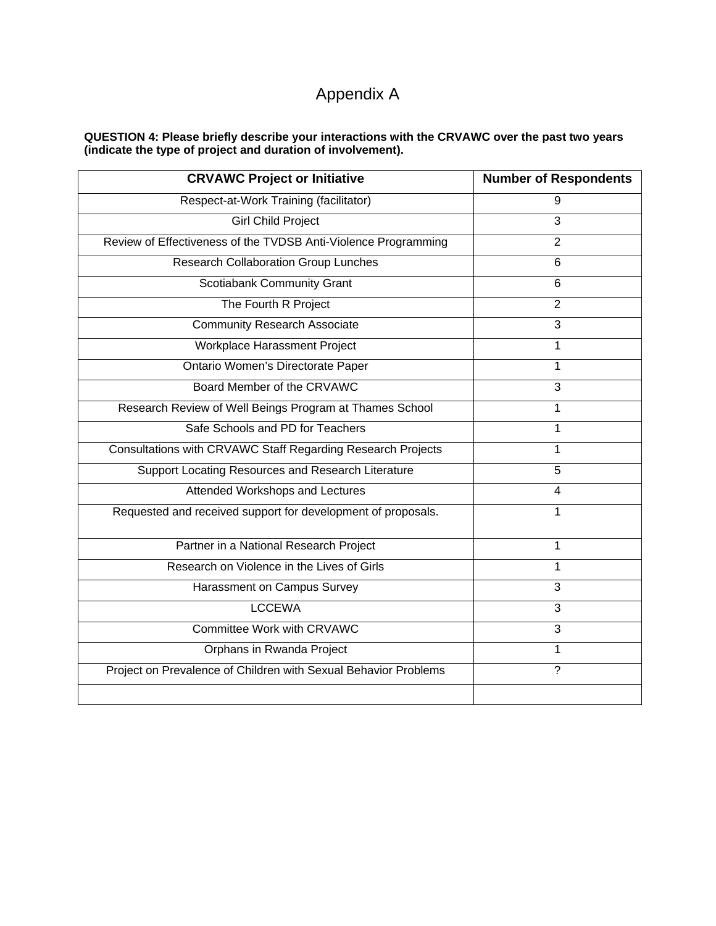# Appendix A

#### **QUESTION 4: Please briefly describe your interactions with the CRVAWC over the past two years (indicate the type of project and duration of involvement).**

| <b>CRVAWC Project or Initiative</b>                             | <b>Number of Respondents</b> |
|-----------------------------------------------------------------|------------------------------|
| Respect-at-Work Training (facilitator)                          | 9                            |
| <b>Girl Child Project</b>                                       | 3                            |
| Review of Effectiveness of the TVDSB Anti-Violence Programming  | $\overline{2}$               |
| <b>Research Collaboration Group Lunches</b>                     | 6                            |
| Scotiabank Community Grant                                      | 6                            |
| The Fourth R Project                                            | $\overline{2}$               |
| <b>Community Research Associate</b>                             | 3                            |
| Workplace Harassment Project                                    | $\mathbf{1}$                 |
| Ontario Women's Directorate Paper                               | 1                            |
| Board Member of the CRVAWC                                      | $\overline{3}$               |
| Research Review of Well Beings Program at Thames School         | 1                            |
| Safe Schools and PD for Teachers                                | 1                            |
| Consultations with CRVAWC Staff Regarding Research Projects     | 1                            |
| Support Locating Resources and Research Literature              | 5                            |
| Attended Workshops and Lectures                                 | 4                            |
| Requested and received support for development of proposals.    | 1                            |
| Partner in a National Research Project                          | 1                            |
| Research on Violence in the Lives of Girls                      | 1                            |
| Harassment on Campus Survey                                     | 3                            |
| <b>LCCEWA</b>                                                   | 3                            |
| Committee Work with CRVAWC                                      | 3                            |
| Orphans in Rwanda Project                                       | 1                            |
| Project on Prevalence of Children with Sexual Behavior Problems | $\gamma$                     |
|                                                                 |                              |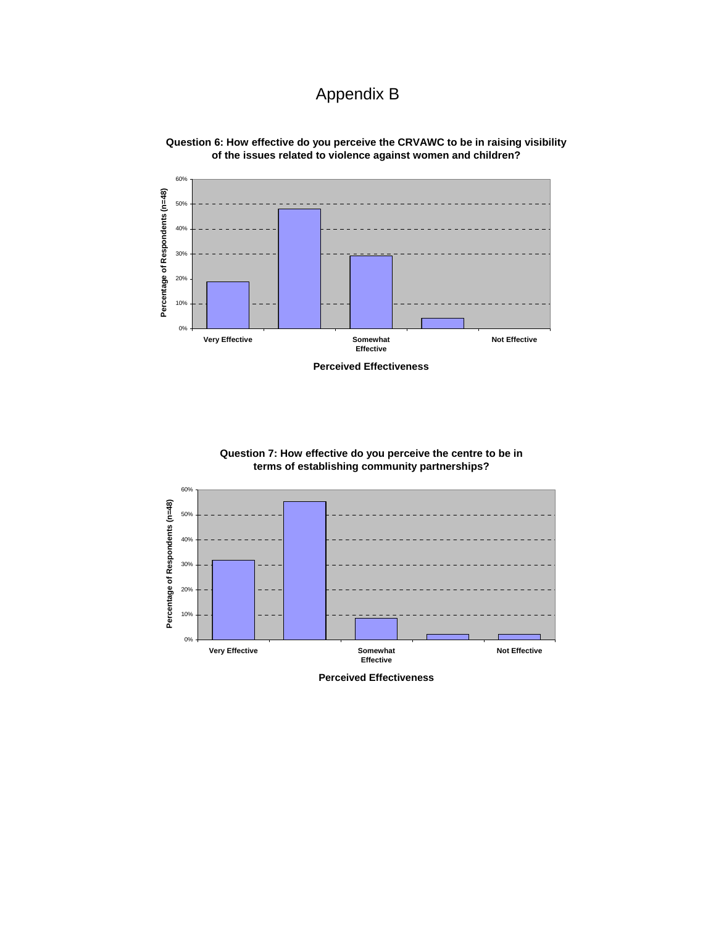# Appendix B



**Question 6: How effective do you perceive the CRVAWC to be in raising visibility of the issues related to violence against women and children?**







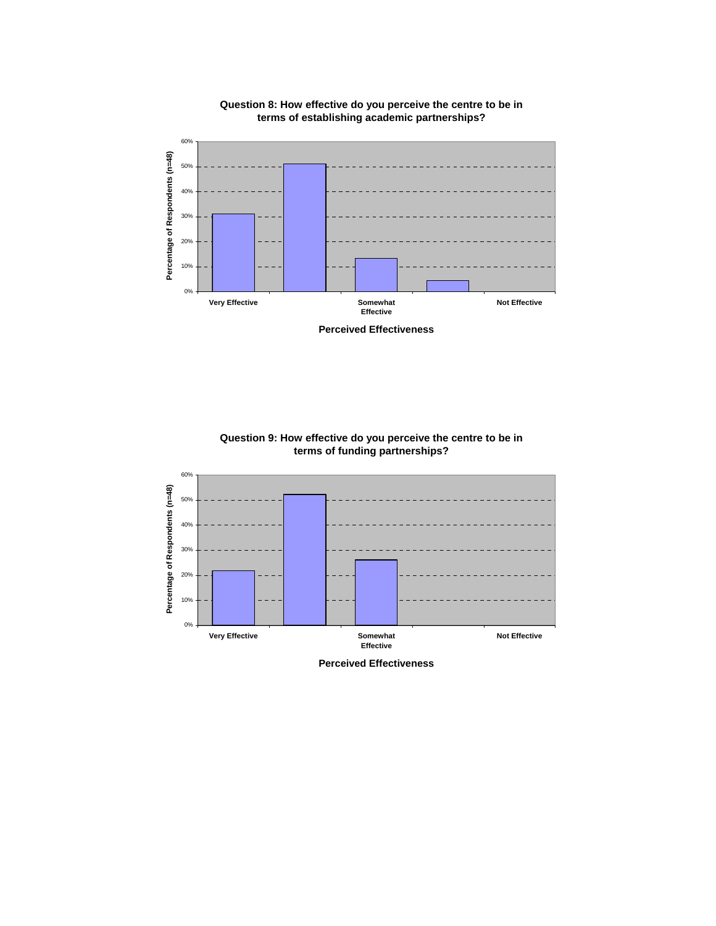

#### **Question 8: How effective do you perceive the centre to be in terms of establishing academic partnerships?**

**Perceived Effectiveness**



**Question 9: How effective do you perceive the centre to be in terms of funding partnerships?**

**Perceived Effectiveness**